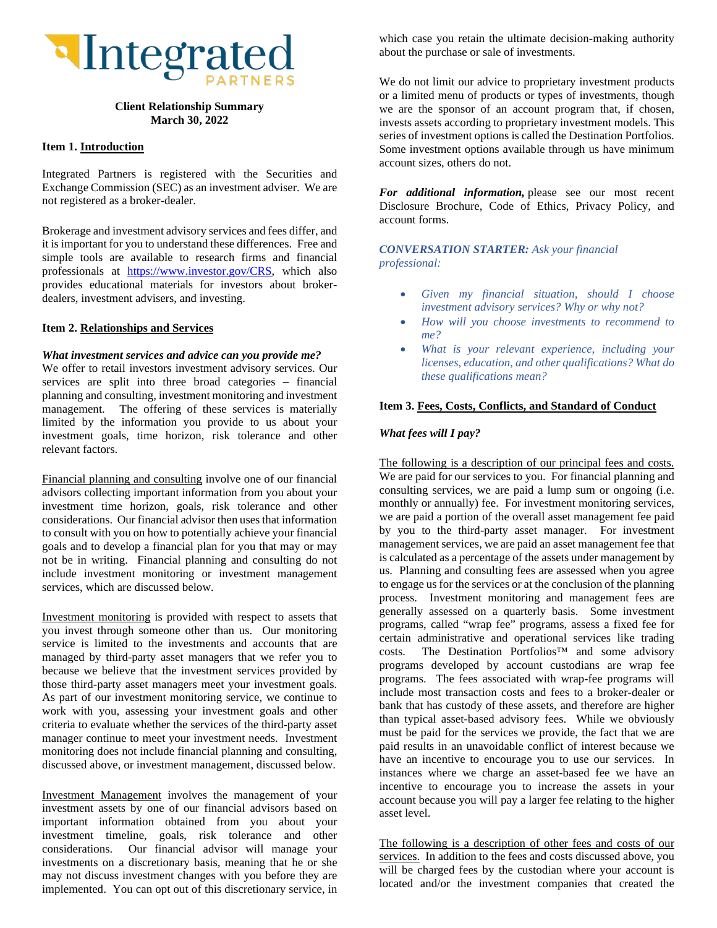

## **Client Relationship Summary March 30, 2022**

### **Item 1. Introduction**

Integrated Partners is registered with the Securities and Exchange Commission (SEC) as an investment adviser. We are not registered as a broker-dealer.

Brokerage and investment advisory services and fees differ, and it is important for you to understand these differences. Free and simple tools are available to research firms and financial professionals at [https://www.investor.gov/CRS,](https://www.investor.gov/CRS) which also provides educational materials for investors about brokerdealers, investment advisers, and investing.

### **Item 2. Relationships and Services**

#### *What investment services and advice can you provide me?*

We offer to retail investors investment advisory services. Our services are split into three broad categories – financial planning and consulting, investment monitoring and investment management. The offering of these services is materially limited by the information you provide to us about your investment goals, time horizon, risk tolerance and other relevant factors.

Financial planning and consulting involve one of our financial advisors collecting important information from you about your investment time horizon, goals, risk tolerance and other considerations. Our financial advisor then uses that information to consult with you on how to potentially achieve your financial goals and to develop a financial plan for you that may or may not be in writing. Financial planning and consulting do not include investment monitoring or investment management services, which are discussed below.

Investment monitoring is provided with respect to assets that you invest through someone other than us. Our monitoring service is limited to the investments and accounts that are managed by third-party asset managers that we refer you to because we believe that the investment services provided by those third-party asset managers meet your investment goals. As part of our investment monitoring service, we continue to work with you, assessing your investment goals and other criteria to evaluate whether the services of the third-party asset manager continue to meet your investment needs. Investment monitoring does not include financial planning and consulting, discussed above, or investment management, discussed below.

Investment Management involves the management of your investment assets by one of our financial advisors based on important information obtained from you about your investment timeline, goals, risk tolerance and other considerations. Our financial advisor will manage your investments on a discretionary basis, meaning that he or she may not discuss investment changes with you before they are implemented. You can opt out of this discretionary service, in

which case you retain the ultimate decision-making authority about the purchase or sale of investments.

We do not limit our advice to proprietary investment products or a limited menu of products or types of investments, though we are the sponsor of an account program that, if chosen, invests assets according to proprietary investment models. This series of investment options is called the Destination Portfolios. Some investment options available through us have minimum account sizes, others do not.

*For additional information,* please see our most recent Disclosure Brochure, Code of Ethics, Privacy Policy, and account forms.

*CONVERSATION STARTER: Ask your financial professional:*

- *Given my financial situation, should I choose investment advisory services? Why or why not?*
- *How will you choose investments to recommend to me?*
- *What is your relevant experience, including your licenses, education, and other qualifications? What do these qualifications mean?*

## **Item 3. Fees, Costs, Conflicts, and Standard of Conduct**

#### *What fees will I pay?*

The following is a description of our principal fees and costs. We are paid for our services to you. For financial planning and consulting services, we are paid a lump sum or ongoing (i.e. monthly or annually) fee. For investment monitoring services, we are paid a portion of the overall asset management fee paid by you to the third-party asset manager. For investment management services, we are paid an asset management fee that is calculated as a percentage of the assets under management by us. Planning and consulting fees are assessed when you agree to engage us for the services or at the conclusion of the planning process. Investment monitoring and management fees are generally assessed on a quarterly basis. Some investment programs, called "wrap fee" programs, assess a fixed fee for certain administrative and operational services like trading costs. The Destination Portfolios™ and some advisory programs developed by account custodians are wrap fee programs. The fees associated with wrap-fee programs will include most transaction costs and fees to a broker-dealer or bank that has custody of these assets, and therefore are higher than typical asset-based advisory fees. While we obviously must be paid for the services we provide, the fact that we are paid results in an unavoidable conflict of interest because we have an incentive to encourage you to use our services. In instances where we charge an asset-based fee we have an incentive to encourage you to increase the assets in your account because you will pay a larger fee relating to the higher asset level.

The following is a description of other fees and costs of our services. In addition to the fees and costs discussed above, you will be charged fees by the custodian where your account is located and/or the investment companies that created the